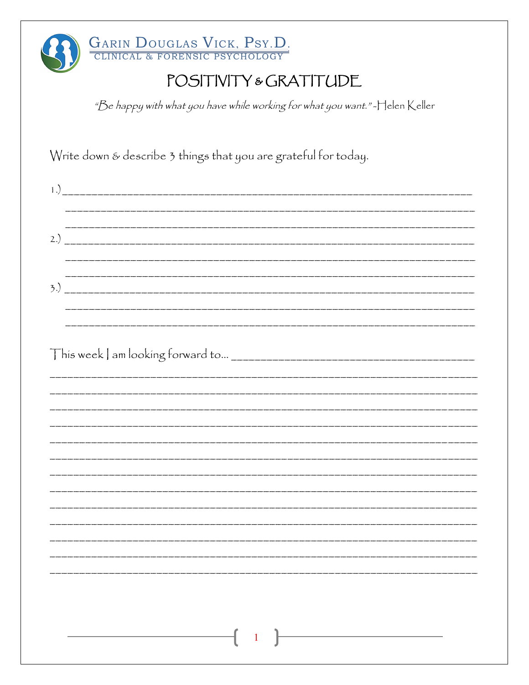| GARIN DOUGLAS VICK, PSY.D.                                                    |  |
|-------------------------------------------------------------------------------|--|
| POSITIVITY & GRATITUDE                                                        |  |
| "Be happy with what you have while working for what you want." - Helen Keller |  |
| Write down & describe 3 things that you are grateful for today.               |  |
|                                                                               |  |
|                                                                               |  |
|                                                                               |  |
|                                                                               |  |
|                                                                               |  |
|                                                                               |  |
|                                                                               |  |
|                                                                               |  |
|                                                                               |  |
|                                                                               |  |
|                                                                               |  |
|                                                                               |  |
|                                                                               |  |
|                                                                               |  |
|                                                                               |  |
|                                                                               |  |
|                                                                               |  |
|                                                                               |  |
|                                                                               |  |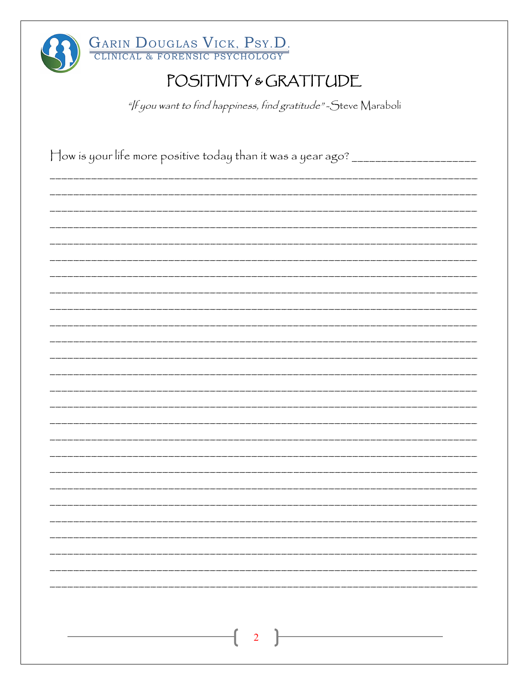| GARIN DOUGLAS VICK, PSY.D.                                                        |
|-----------------------------------------------------------------------------------|
| POSITIVITY & GRATITUDE                                                            |
| "/f you want to find happiness, find gratitude"-Steve Maraboli                    |
|                                                                                   |
| How is your life more positive today than it was a year ago? ____________________ |
|                                                                                   |
|                                                                                   |
|                                                                                   |
|                                                                                   |
|                                                                                   |
|                                                                                   |
|                                                                                   |
|                                                                                   |
|                                                                                   |
|                                                                                   |
|                                                                                   |
|                                                                                   |
|                                                                                   |
|                                                                                   |
|                                                                                   |
|                                                                                   |
|                                                                                   |
|                                                                                   |
|                                                                                   |
|                                                                                   |
|                                                                                   |
|                                                                                   |
|                                                                                   |
|                                                                                   |
| $\overline{2}$                                                                    |
|                                                                                   |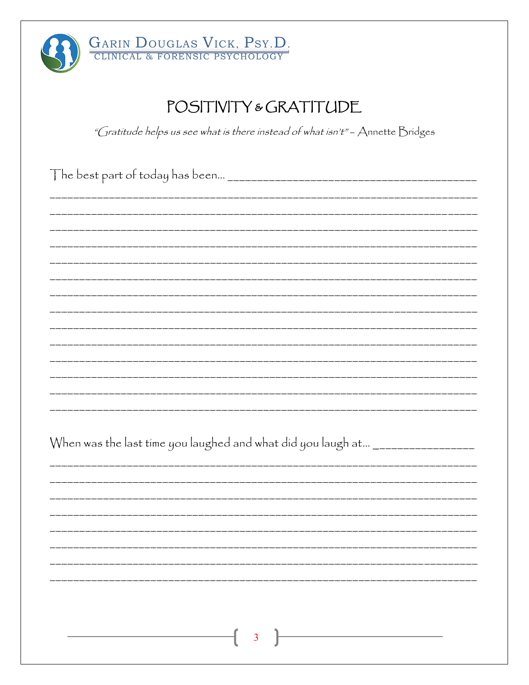

## POSITIVITY & GRATITUDE

"Gratitude helps us see what is there instead of what isn't" - Annette Bridges

| When was the last time you laughed and what did you laugh at ________________ |  |
|-------------------------------------------------------------------------------|--|
|                                                                               |  |
|                                                                               |  |
|                                                                               |  |
|                                                                               |  |
|                                                                               |  |
|                                                                               |  |
| $\overline{\mathbf{3}}$                                                       |  |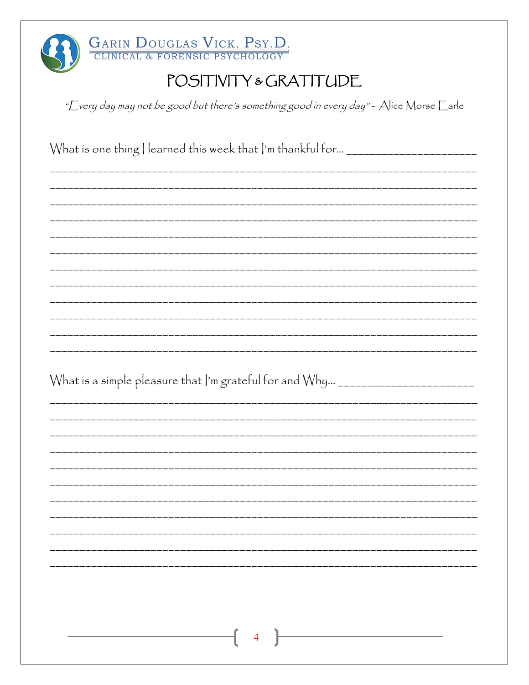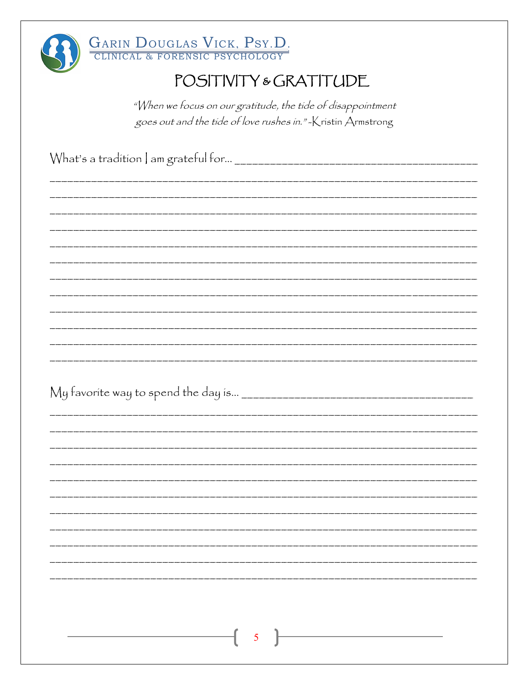

# GARIN DOUGLAS VICK, PSY.D.<br>CLINICAL & FORENSIC PSYCHOLOGY

## POSITIVITY & GRATITUDE

"When we focus on our gratitude, the tide of disappointment goes out and the tide of love rushes in."-Kristin Armstrong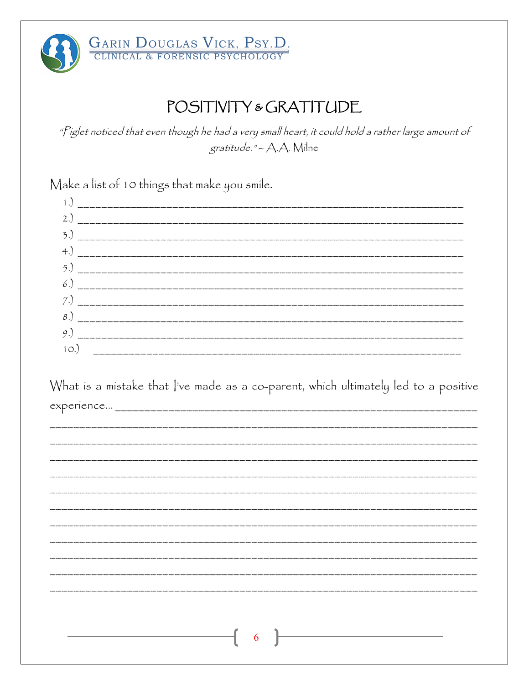

## POSITIVITY & GRATITUDE

"Piglet noticed that even though he had a very small heart, it could hold a rather large amount of gratitude." - A.A. Milne

Make a list of 10 things that make you smile.

| $1^{\circ}$ |  |
|-------------|--|

| What is a mistake that  've made as a co-parent, which ultimately led to a positive |  |  |  |  |  |
|-------------------------------------------------------------------------------------|--|--|--|--|--|
| experience                                                                          |  |  |  |  |  |

| $\begin{array}{ccc} \begin{array}{ccc} \hline \end{array} & \begin{array}{ccc} \hline \end{array} & \begin{array}{ccc} \hline \end{array} & \begin{array}{ccc} \hline \end{array} & \begin{array}{ccc} \hline \end{array} & \begin{array}{ccc} \hline \end{array} & \begin{array}{ccc} \hline \end{array} & \begin{array}{ccc} \hline \end{array} & \begin{array}{ccc} \hline \end{array} & \begin{array}{ccc} \hline \end{array} & \begin{array}{ccc} \hline \end{array} & \begin{array}{ccc} \hline \end{array} & \begin{array}{ccc} \hline \end{array} & \begin{array}{$ |  |
|-----------------------------------------------------------------------------------------------------------------------------------------------------------------------------------------------------------------------------------------------------------------------------------------------------------------------------------------------------------------------------------------------------------------------------------------------------------------------------------------------------------------------------------------------------------------------------|--|
|                                                                                                                                                                                                                                                                                                                                                                                                                                                                                                                                                                             |  |
|                                                                                                                                                                                                                                                                                                                                                                                                                                                                                                                                                                             |  |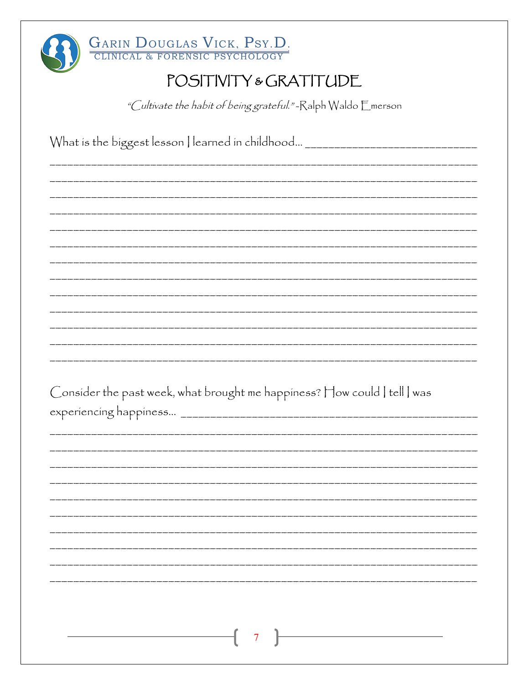| GARIN DOUGLAS VICK, PSY.D.                                                    |
|-------------------------------------------------------------------------------|
| POSITIVITY & GRATITUDE                                                        |
| <i>"Cultivate the habit of being grateful."</i> -Ralph Waldo Emerson          |
| What is the biggest lesson   learned in childhood ___________________________ |
|                                                                               |
|                                                                               |
|                                                                               |
|                                                                               |
|                                                                               |
|                                                                               |
|                                                                               |
|                                                                               |
|                                                                               |
| Consider the past week, what brought me happiness? How could   tell   was     |
|                                                                               |
|                                                                               |
|                                                                               |
|                                                                               |
|                                                                               |
|                                                                               |
|                                                                               |
|                                                                               |
|                                                                               |
|                                                                               |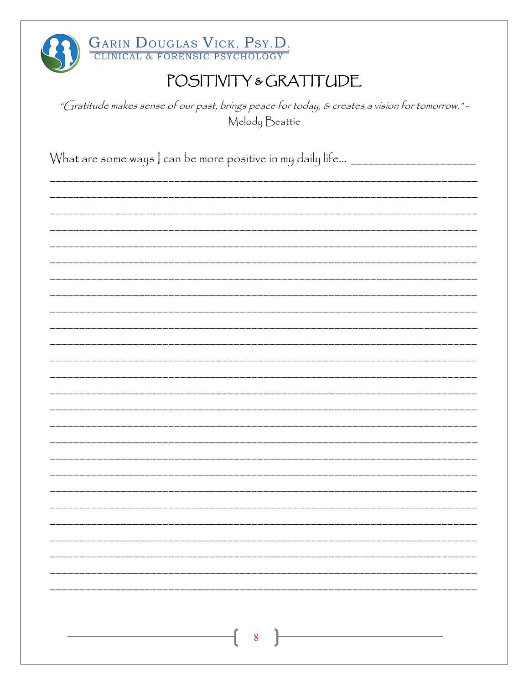| GARIN DOUGLAS VICK, PSY.D.                                                                                       |
|------------------------------------------------------------------------------------------------------------------|
| POSITIVITY & GRATITUDE                                                                                           |
| "Gratitude makes sense of our past, brings peace for today, & creates a vision for tomorrow."-<br>Melody Beattie |
| What are some ways   can be more positive in my daily life __________________                                    |
|                                                                                                                  |
|                                                                                                                  |
|                                                                                                                  |
|                                                                                                                  |
|                                                                                                                  |
|                                                                                                                  |
|                                                                                                                  |
|                                                                                                                  |
|                                                                                                                  |
|                                                                                                                  |
|                                                                                                                  |
|                                                                                                                  |
|                                                                                                                  |
|                                                                                                                  |
|                                                                                                                  |
|                                                                                                                  |
|                                                                                                                  |
|                                                                                                                  |
| $8\overline{8}$                                                                                                  |
|                                                                                                                  |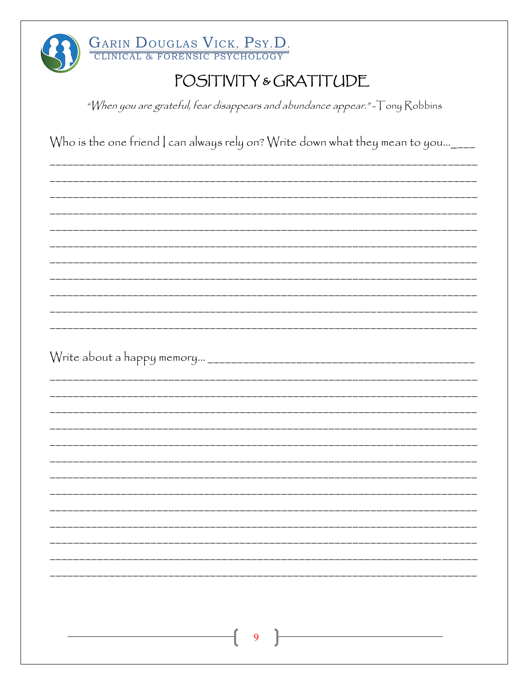

## POSITIVITY & GRATITUDE

"When you are grateful, fear disappears and abundance appear."-Tony Robbins

Who is the one friend | can always rely on? Write down what they mean to you...\_\_\_\_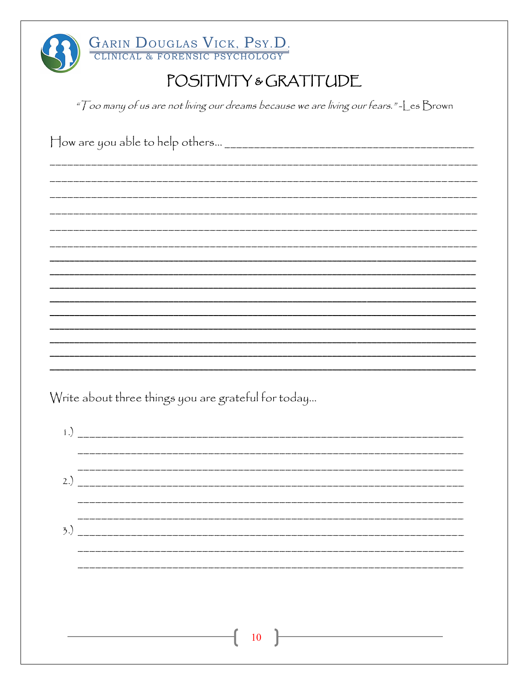| GARIN DOUGLAS VICK, PSY.D.                                                              |
|-----------------------------------------------------------------------------------------|
| POSITIVITY & GRATITUDE                                                                  |
| "Too many of us are not living our dreams because we are living our fears." - Les Brown |
|                                                                                         |
|                                                                                         |
|                                                                                         |
|                                                                                         |
|                                                                                         |
|                                                                                         |
|                                                                                         |
|                                                                                         |
|                                                                                         |
|                                                                                         |
|                                                                                         |
|                                                                                         |
|                                                                                         |
| Write about three things you are grateful for today                                     |
| $\left(1\right)$                                                                        |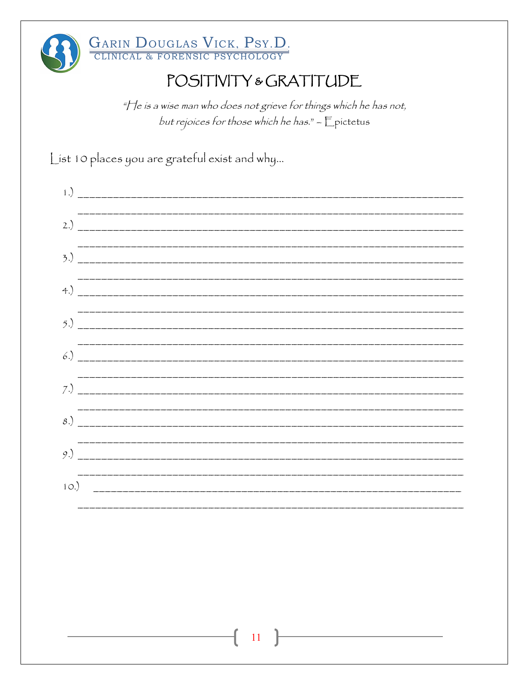

### POSITIVITY & GRATITUDE

"He is a wise man who does not grieve for things which he has not, but rejoices for those which he has." - Epictetus

List 10 places you are grateful exist and why...

| $\binom{1}{1}$ |  |
|----------------|--|
| 2.)            |  |
|                |  |
| 4.)            |  |
| 5.)            |  |
| 6.)            |  |
|                |  |
| 8.)            |  |
| 9.)            |  |
| 10.)           |  |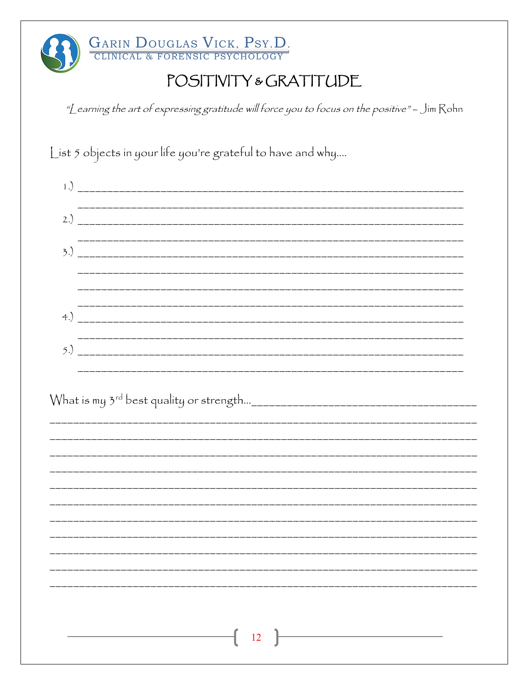

## POSITIVITY & GRATITUDE

"Learning the art of expressing gratitude will force you to focus on the positive" - Jim Rohn

List 5 objects in your life you're grateful to have and why....

| 2.) |  |  |  |
|-----|--|--|--|
|     |  |  |  |
|     |  |  |  |
|     |  |  |  |
|     |  |  |  |
|     |  |  |  |
|     |  |  |  |
|     |  |  |  |
|     |  |  |  |
|     |  |  |  |
|     |  |  |  |
|     |  |  |  |